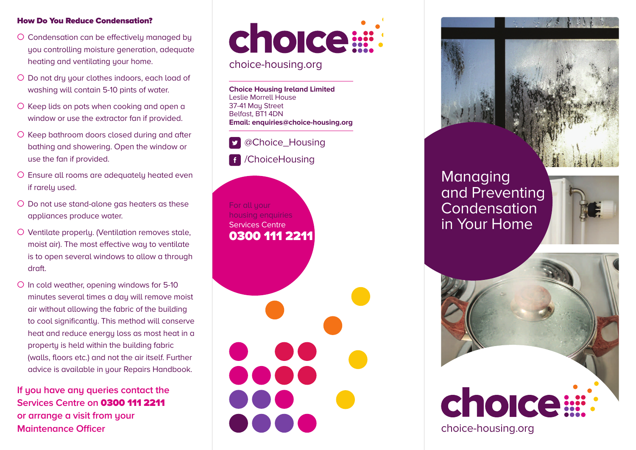## **How Do You Reduce Condensation?**

- O Condensation can be effectively managed by you controlling moisture generation, adequate heating and ventilating your home.
- O Do not dru your clothes indoors, each load of washing will contain 5-10 pints of water.
- O Keep lids on pots when cooking and open a window or use the extractor fan if provided.
- O Keep bathroom doors closed during and after bathing and showering. Open the window or use the fan if provided.
- O Ensure all rooms are adequately heated even if rarely used.
- O Do not use stand-alone gas heaters as these appliances produce water.
- O Ventilate properly. (Ventilation removes stale, moist air). The most effective way to ventilate is to open several windows to allow a through draft.
- O In cold weather, opening windows for 5-10 minutes several times a day will remove moist air without allowing the fabric of the building to cool significantly. This method will conserve heat and reduce energy loss as most heat in a property is held within the building fabric (walls, floors etc.) and not the air itself. Further advice is available in your Repairs Handbook.

**If you have any queries contact the Services Centre on 0300 111 2211 or arrange a visit from your Maintenance Officer**

# choice:

choice-housing.org

**Choice Housing Ireland Limited** Leslie Morrell House 37-41 Mau Street Belfast, BT1 4DN **Email: enquiries@choice-housing.org**



For all your housing enquiries Services Centre **0300 111 2211**





## Managing and Preventing Condensation in Your Home